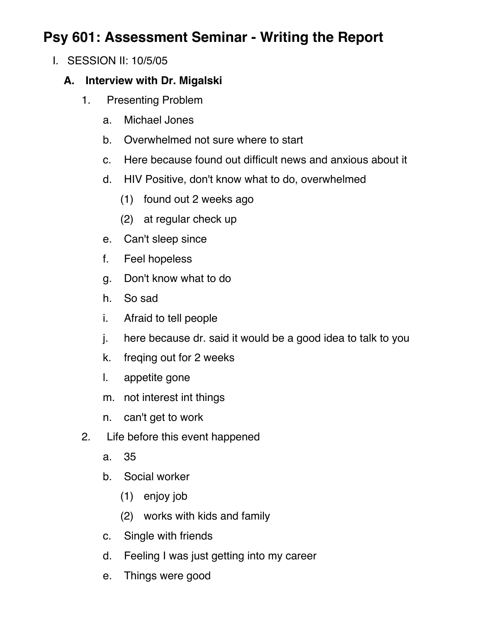## **Psy 601: Assessment Seminar - Writing the Report**

I. SESSION II: 10/5/05

## **A. Interview with Dr. Migalski**

- 1. Presenting Problem
	- a. Michael Jones
	- b. Overwhelmed not sure where to start
	- c. Here because found out difficult news and anxious about it
	- d. HIV Positive, don't know what to do, overwhelmed
		- (1) found out 2 weeks ago
		- (2) at regular check up
	- e. Can't sleep since
	- f. Feel hopeless
	- g. Don't know what to do
	- h. So sad
	- i. Afraid to tell people
	- j. here because dr. said it would be a good idea to talk to you
	- k. freqing out for 2 weeks
	- l. appetite gone
	- m. not interest int things
	- n. can't get to work
- 2. Life before this event happened
	- a. 35
	- b. Social worker
		- (1) enjoy job
		- (2) works with kids and family
	- c. Single with friends
	- d. Feeling I was just getting into my career
	- e. Things were good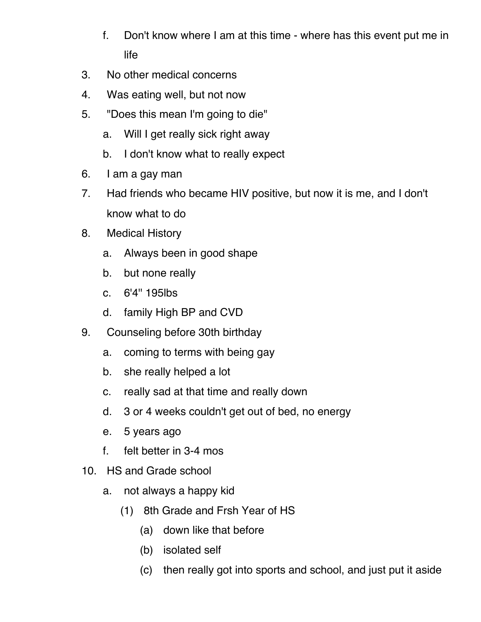- f. Don't know where I am at this time where has this event put me in life
- 3. No other medical concerns
- 4. Was eating well, but not now
- 5. "Does this mean I'm going to die"
	- a. Will I get really sick right away
	- b. I don't know what to really expect
- 6. I am a gay man
- 7. Had friends who became HIV positive, but now it is me, and I don't know what to do
- 8. Medical History
	- a. Always been in good shape
	- b. but none really
	- c. 6'4'' 195lbs
	- d. family High BP and CVD
- 9. Counseling before 30th birthday
	- a. coming to terms with being gay
	- b. she really helped a lot
	- c. really sad at that time and really down
	- d. 3 or 4 weeks couldn't get out of bed, no energy
	- e. 5 years ago
	- f. felt better in 3-4 mos
- 10. HS and Grade school
	- a. not always a happy kid
		- (1) 8th Grade and Frsh Year of HS
			- (a) down like that before
			- (b) isolated self
			- (c) then really got into sports and school, and just put it aside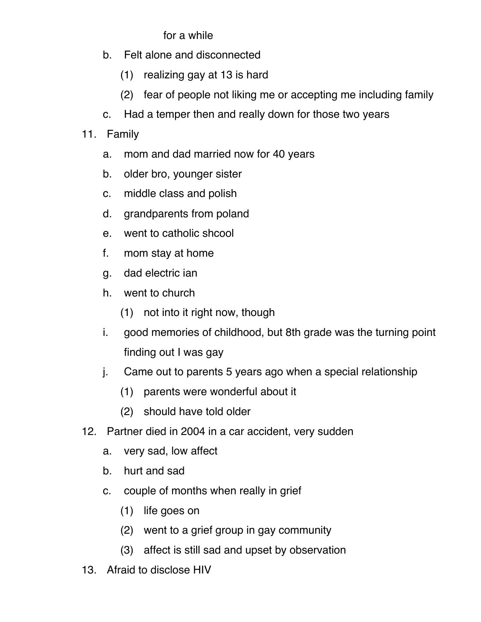## for a while

- b. Felt alone and disconnected
	- (1) realizing gay at 13 is hard
	- (2) fear of people not liking me or accepting me including family
- c. Had a temper then and really down for those two years
- 11. Family
	- a. mom and dad married now for 40 years
	- b. older bro, younger sister
	- c. middle class and polish
	- d. grandparents from poland
	- e. went to catholic shcool
	- f. mom stay at home
	- g. dad electric ian
	- h. went to church
		- (1) not into it right now, though
	- i. good memories of childhood, but 8th grade was the turning point finding out I was gay
	- j. Came out to parents 5 years ago when a special relationship
		- (1) parents were wonderful about it
		- (2) should have told older
- 12. Partner died in 2004 in a car accident, very sudden
	- a. very sad, low affect
	- b. hurt and sad
	- c. couple of months when really in grief
		- (1) life goes on
		- (2) went to a grief group in gay community
		- (3) affect is still sad and upset by observation
- 13. Afraid to disclose HIV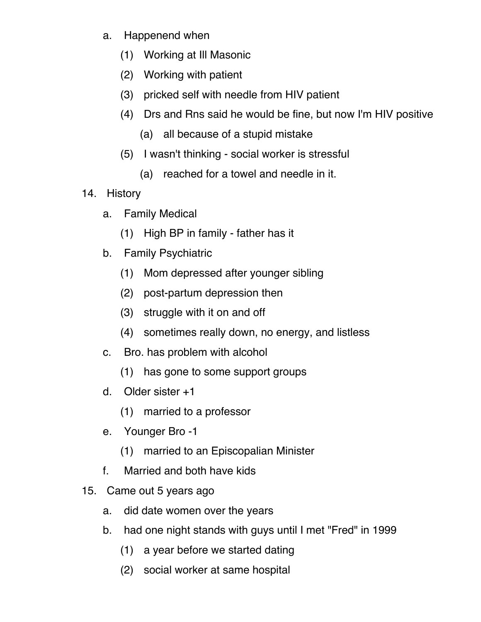- a. Happenend when
	- (1) Working at Ill Masonic
	- (2) Working with patient
	- (3) pricked self with needle from HIV patient
	- (4) Drs and Rns said he would be fine, but now I'm HIV positive
		- (a) all because of a stupid mistake
	- (5) I wasn't thinking social worker is stressful
		- (a) reached for a towel and needle in it.
- 14. History
	- a. Family Medical
		- (1) High BP in family father has it
	- b. Family Psychiatric
		- (1) Mom depressed after younger sibling
		- (2) post-partum depression then
		- (3) struggle with it on and off
		- (4) sometimes really down, no energy, and listless
	- c. Bro. has problem with alcohol
		- (1) has gone to some support groups
	- d. Older sister +1
		- (1) married to a professor
	- e. Younger Bro -1
		- (1) married to an Episcopalian Minister
	- f. Married and both have kids
- 15. Came out 5 years ago
	- a. did date women over the years
	- b. had one night stands with guys until I met "Fred" in 1999
		- (1) a year before we started dating
		- (2) social worker at same hospital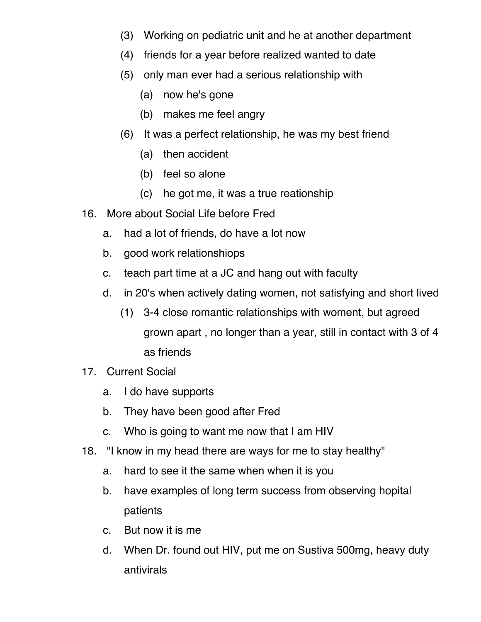- (3) Working on pediatric unit and he at another department
- (4) friends for a year before realized wanted to date
- (5) only man ever had a serious relationship with
	- (a) now he's gone
	- (b) makes me feel angry
- (6) It was a perfect relationship, he was my best friend
	- (a) then accident
	- (b) feel so alone
	- (c) he got me, it was a true reationship
- 16. More about Social Life before Fred
	- a. had a lot of friends, do have a lot now
	- b. good work relationshiops
	- c. teach part time at a JC and hang out with faculty
	- d. in 20's when actively dating women, not satisfying and short lived
		- (1) 3-4 close romantic relationships with woment, but agreed grown apart , no longer than a year, still in contact with 3 of 4 as friends
- 17. Current Social
	- a. I do have supports
	- b. They have been good after Fred
	- c. Who is going to want me now that I am HIV
- 18. "I know in my head there are ways for me to stay healthy"
	- a. hard to see it the same when when it is you
	- b. have examples of long term success from observing hopital patients
	- c. But now it is me
	- d. When Dr. found out HIV, put me on Sustiva 500mg, heavy duty antivirals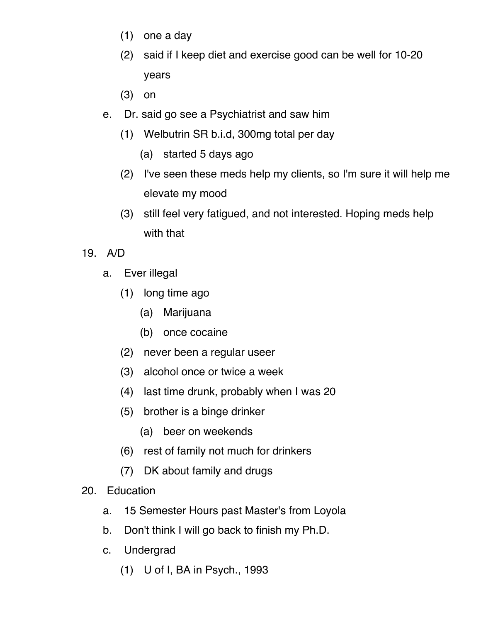- (1) one a day
- (2) said if I keep diet and exercise good can be well for 10-20 years
- (3) on
- e. Dr. said go see a Psychiatrist and saw him
	- (1) Welbutrin SR b.i.d, 300mg total per day
		- (a) started 5 days ago
	- (2) I've seen these meds help my clients, so I'm sure it will help me elevate my mood
	- (3) still feel very fatigued, and not interested. Hoping meds help with that
- 19. A/D
	- a. Ever illegal
		- (1) long time ago
			- (a) Marijuana
			- (b) once cocaine
		- (2) never been a regular useer
		- (3) alcohol once or twice a week
		- (4) last time drunk, probably when I was 20
		- (5) brother is a binge drinker
			- (a) beer on weekends
		- (6) rest of family not much for drinkers
		- (7) DK about family and drugs
- 20. Education
	- a. 15 Semester Hours past Master's from Loyola
	- b. Don't think I will go back to finish my Ph.D.
	- c. Undergrad
		- (1) U of I, BA in Psych., 1993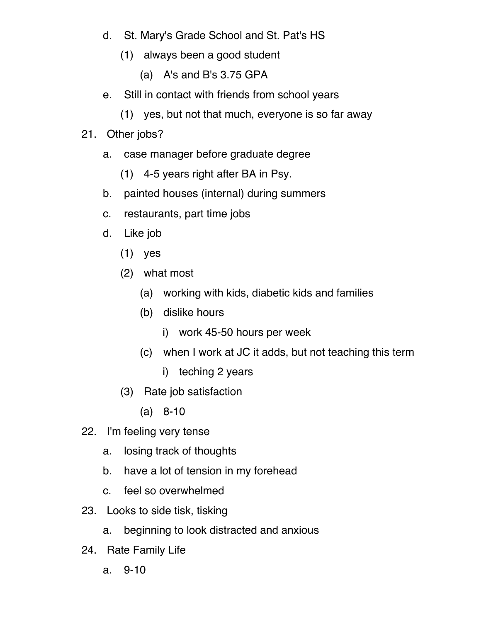- d. St. Mary's Grade School and St. Pat's HS
	- (1) always been a good student
		- (a) A's and B's 3.75 GPA
- e. Still in contact with friends from school years
	- (1) yes, but not that much, everyone is so far away

## 21. Other jobs?

- a. case manager before graduate degree
	- (1) 4-5 years right after BA in Psy.
- b. painted houses (internal) during summers
- c. restaurants, part time jobs
- d. Like job
	- (1) yes
	- (2) what most
		- (a) working with kids, diabetic kids and families
		- (b) dislike hours
			- i) work 45-50 hours per week
		- (c) when I work at JC it adds, but not teaching this term
			- i) teching 2 years
	- (3) Rate job satisfaction
		- (a) 8-10
- 22. I'm feeling very tense
	- a. losing track of thoughts
	- b. have a lot of tension in my forehead
	- c. feel so overwhelmed
- 23. Looks to side tisk, tisking
	- a. beginning to look distracted and anxious
- 24. Rate Family Life
	- a. 9-10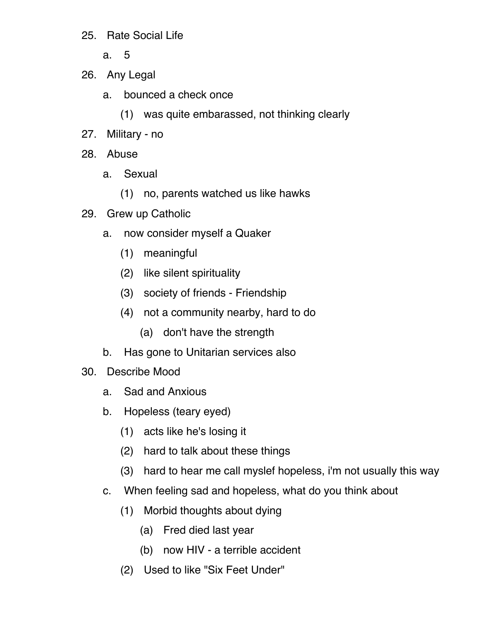- 25. Rate Social Life
	- a. 5
- 26. Any Legal
	- a. bounced a check once
		- (1) was quite embarassed, not thinking clearly
- 27. Military no
- 28. Abuse
	- a. Sexual
		- (1) no, parents watched us like hawks
- 29. Grew up Catholic
	- a. now consider myself a Quaker
		- (1) meaningful
		- (2) like silent spirituality
		- (3) society of friends Friendship
		- (4) not a community nearby, hard to do
			- (a) don't have the strength
	- b. Has gone to Unitarian services also
- 30. Describe Mood
	- a. Sad and Anxious
	- b. Hopeless (teary eyed)
		- (1) acts like he's losing it
		- (2) hard to talk about these things
		- (3) hard to hear me call myslef hopeless, i'm not usually this way
	- c. When feeling sad and hopeless, what do you think about
		- (1) Morbid thoughts about dying
			- (a) Fred died last year
			- (b) now HIV a terrible accident
		- (2) Used to like "Six Feet Under"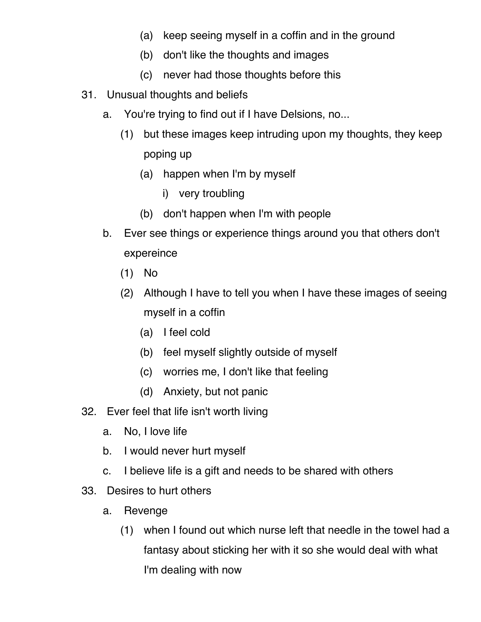- (a) keep seeing myself in a coffin and in the ground
- (b) don't like the thoughts and images
- (c) never had those thoughts before this
- 31. Unusual thoughts and beliefs
	- a. You're trying to find out if I have Delsions, no...
		- (1) but these images keep intruding upon my thoughts, they keep poping up
			- (a) happen when I'm by myself
				- i) very troubling
			- (b) don't happen when I'm with people
	- b. Ever see things or experience things around you that others don't expereince
		- (1) No
		- (2) Although I have to tell you when I have these images of seeing myself in a coffin
			- (a) I feel cold
			- (b) feel myself slightly outside of myself
			- (c) worries me, I don't like that feeling
			- (d) Anxiety, but not panic
- 32. Ever feel that life isn't worth living
	- a. No, I love life
	- b. I would never hurt myself
	- c. I believe life is a gift and needs to be shared with others
- 33. Desires to hurt others
	- a. Revenge
		- (1) when I found out which nurse left that needle in the towel had a fantasy about sticking her with it so she would deal with what I'm dealing with now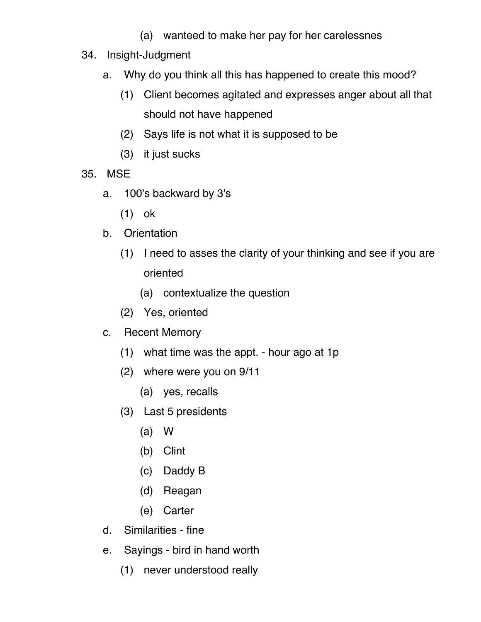- (a) wanteed to make her pay for her carelessnes
- 34. Insight-Judgment
	- a. Why do you think all this has happened to create this mood?
		- (1) Client becomes agitated and expresses anger about all that should not have happened
		- (2) Says life is not what it is supposed to be
		- (3) it just sucks
- 35. MSE
	- a. 100's backward by 3's
		- (1) ok
	- b. Orientation
		- (1) I need to asses the clarity of your thinking and see if you are oriented
			- (a) contextualize the question
		- (2) Yes, oriented
	- c. Recent Memory
		- (1) what time was the appt. hour ago at 1p
		- (2) where were you on 9/11
			- (a) yes, recalls
		- (3) Last 5 presidents
			- (a) W
			- (b) Clint
			- (c) Daddy B
			- (d) Reagan
			- (e) Carter
	- d. Similarities fine
	- e. Sayings bird in hand worth
		- (1) never understood really